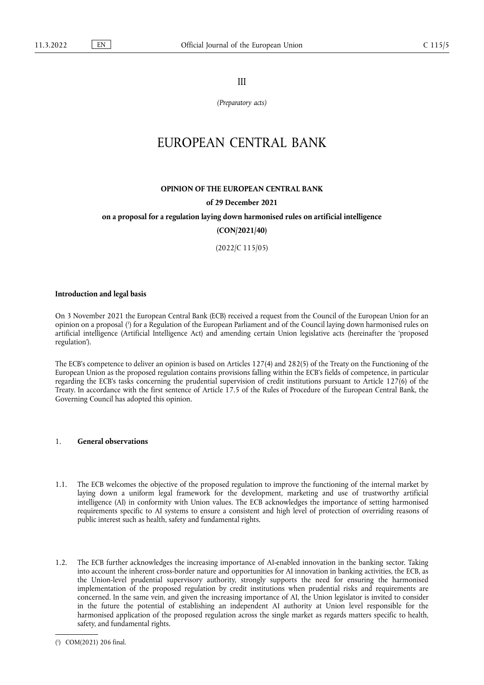III

*(Preparatory acts)*

# EUROPEAN CENTRAL BANK

# **OPINION OF THE EUROPEAN CENTRAL BANK**

### **of 29 December 2021**

# **on a proposal for a regulation laying down harmonised rules on artificial intelligence**

**(CON/2021/40)** 

(2022/C 115/05)

#### **Introduction and legal basis**

<span id="page-0-1"></span>On 3 November 2021 the European Central Bank (ECB) received a request from the Council of the European Union for an opinion on a proposal [\(](#page-0-0) 1 ) for a Regulation of the European Parliament and of the Council laying down harmonised rules on artificial intelligence (Artificial Intelligence Act) and amending certain Union legislative acts (hereinafter the 'proposed regulation').

The ECB's competence to deliver an opinion is based on Articles 127(4) and 282(5) of the Treaty on the Functioning of the European Union as the proposed regulation contains provisions falling within the ECB's fields of competence, in particular regarding the ECB's tasks concerning the prudential supervision of credit institutions pursuant to Article 127(6) of the Treaty. In accordance with the first sentence of Article 17.5 of the Rules of Procedure of the European Central Bank, the Governing Council has adopted this opinion.

# 1. **General observations**

- 1.1. The ECB welcomes the objective of the proposed regulation to improve the functioning of the internal market by laying down a uniform legal framework for the development, marketing and use of trustworthy artificial intelligence (AI) in conformity with Union values. The ECB acknowledges the importance of setting harmonised requirements specific to AI systems to ensure a consistent and high level of protection of overriding reasons of public interest such as health, safety and fundamental rights.
- 1.2. The ECB further acknowledges the increasing importance of AI-enabled innovation in the banking sector. Taking into account the inherent cross-border nature and opportunities for AI innovation in banking activities, the ECB, as the Union-level prudential supervisory authority, strongly supports the need for ensuring the harmonised implementation of the proposed regulation by credit institutions when prudential risks and requirements are concerned. In the same vein, and given the increasing importance of AI, the Union legislator is invited to consider in the future the potential of establishing an independent AI authority at Union level responsible for the harmonised application of the proposed regulation across the single market as regards matters specific to health, safety, and fundamental rights.

<span id="page-0-0"></span>[<sup>\(</sup>](#page-0-1) 1 ) COM(2021) 206 final.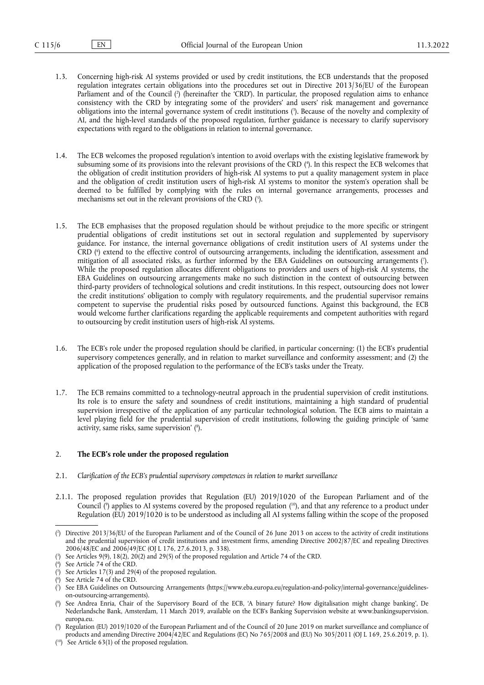- <span id="page-1-10"></span><span id="page-1-9"></span>1.3. Concerning high-risk AI systems provided or used by credit institutions, the ECB understands that the proposed regulation integrates certain obligations into the procedures set out in Directive 2013/36/EU of the European Parliament and of the Council [\(](#page-1-0) 2 ) (hereinafter the 'CRD'). In particular, the proposed regulation aims to enhance consistency with the CRD by integrating some of the providers' and users' risk management and governance obligations into the internal governance system of credit institutions [\(](#page-1-1) 3 ). Because of the novelty and complexity of AI, and the high-level standards of the proposed regulation, further guidance is necessary to clarify supervisory expectations with regard to the obligations in relation to internal governance.
- <span id="page-1-11"></span>1.4. The ECB welcomes the proposed regulation's intention to avoid overlaps with the existing legislative framework by subsuming some of its provisions into the relevant provisions of the CRD ( 4 [\).](#page-1-2) In this respect the ECB welcomes that the obligation of credit institution providers of high-risk AI systems to put a quality management system in place and the obligation of credit institution users of high-risk AI systems to monitor the system's operation shall be deemed to be fulfilled by complying with the rules on internal governance arrangements, processes and mechanisms set out in the relevant provisions of the CRD [\(](#page-1-3) 5 ).
- <span id="page-1-14"></span><span id="page-1-13"></span><span id="page-1-12"></span>1.5. The ECB emphasises that the proposed regulation should be without prejudice to the more specific or stringent prudential obligations of credit institutions set out in sectoral regulation and supplemented by supervisory guidance. For instance, the internal governance obligations of credit institution users of AI systems under the CRD [\(](#page-1-4) 6 ) extend to the effective control of outsourcing arrangements, including the identification, assessment and mitigation of all associated risks, as further informed by the EBA Guidelines on outsourcing arrangements [\(](#page-1-5) 7 ). While the proposed regulation allocates different obligations to providers and users of high-risk AI systems, the EBA Guidelines on outsourcing arrangements make no such distinction in the context of outsourcing between third-party providers of technological solutions and credit institutions. In this respect, outsourcing does not lower the credit institutions' obligation to comply with regulatory requirements, and the prudential supervisor remains competent to supervise the prudential risks posed by outsourced functions. Against this background, the ECB would welcome further clarifications regarding the applicable requirements and competent authorities with regard to outsourcing by credit institution users of high-risk AI systems.
- 1.6. The ECB's role under the proposed regulation should be clarified, in particular concerning: (1) the ECB's prudential supervisory competences generally, and in relation to market surveillance and conformity assessment; and (2) the application of the proposed regulation to the performance of the ECB's tasks under the Treaty.
- 1.7. The ECB remains committed to a technology-neutral approach in the prudential supervision of credit institutions. Its role is to ensure the safety and soundness of credit institutions, maintaining a high standard of prudential supervision irrespective of the application of any particular technological solution. The ECB aims to maintain a level playing field for the prudential supervision of credit institutions, following the guiding principle of 'same activity, same risks, same supervision' (8[\).](#page-1-6)

## <span id="page-1-15"></span>2. **The ECB's role under the proposed regulation**

- 2.1. *Clarification of the ECB's prudential supervisory competences in relation to market surveillance*
- <span id="page-1-17"></span><span id="page-1-16"></span>2.1.1. The proposed regulation provides that Regulation (EU) 2019/1020 of the European Parliament and of the Council [\(](#page-1-7) $\degree$ ) applies to AI systems covered by the proposed regulation ( $\degree$ ), and that any reference to a product under Regulation (EU) 2019/1020 is to be understood as including all AI systems falling within the scope of the proposed

<span id="page-1-0"></span>[<sup>\(</sup>](#page-1-9) 2 ) Directive 2013/36/EU of the European Parliament and of the Council of 26 June 2013 on access to the activity of credit institutions and the prudential supervision of credit institutions and investment firms, amending Directive 2002/87/EC and repealing Directives 2006/48/EC and 2006/49/EC (OJ L 176, 27.6.2013, p. 338).

<span id="page-1-1"></span>[<sup>\(</sup>](#page-1-10) 3 ) See Articles 9(9), 18(2), 20(2) and 29(5) of the proposed regulation and Article 74 of the CRD.

<span id="page-1-2"></span>[<sup>\(</sup>](#page-1-11) 4 ) See Article 74 of the CRD.

<span id="page-1-3"></span>[<sup>\(</sup>](#page-1-12) 5 See Articles 17(3) and 29(4) of the proposed regulation.

<span id="page-1-4"></span>[<sup>\(</sup>](#page-1-13) 6 ) See Article 74 of the CRD.

<span id="page-1-5"></span>[<sup>\(</sup>](#page-1-14) 7 ) See EBA Guidelines on Outsourcing Arrangements [\(https://www.eba.europa.eu/regulation-and-policy/internal-governance/guidelines](https://www.eba.europa.eu/regulation-and-policy/internal-governance/guidelines-on-outsourcing-arrangements)[on-outsourcing-arrangements\)](https://www.eba.europa.eu/regulation-and-policy/internal-governance/guidelines-on-outsourcing-arrangements).

<span id="page-1-6"></span><sup>(</sup> 8 [\)](#page-1-15) See Andrea Enria, Chair of the Supervisory Board of the ECB, 'A binary future? How digitalisation might change banking', De Nederlandsche Bank, Amsterdam, 11 March 2019, available on the ECB's Banking Supervision website at [www.bankingsupervision.](www.bankingsupervision.europa.eu) [europa.eu](www.bankingsupervision.europa.eu).

<span id="page-1-7"></span>[<sup>\(</sup>](#page-1-16) 9 ) Regulation (EU) 2019/1020 of the European Parliament and of the Council of 20 June 2019 on market surveillance and compliance of products and amending Directive 2004/42/EC and Regulations (EC) No 765/2008 and (EU) No 305/2011 (OJ L 169, 25.6.2019, p. 1).

<span id="page-1-8"></span><sup>(</sup> [10\)](#page-1-16) See Article 63(1) of the proposed regulation.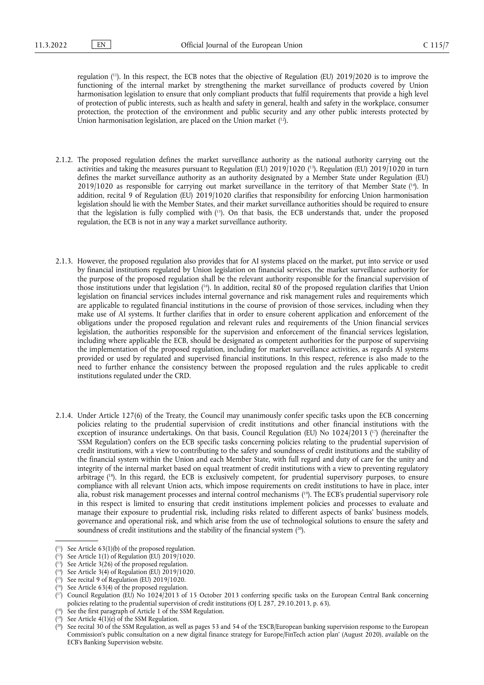regulation ( [11\).](#page-2-0) In this respect, the ECB notes that the objective of Regulation (EU) 2019/2020 is to improve the functioning of the internal market by strengthening the market surveillance of products covered by Union harmonisation legislation to ensure that only compliant products that fulfil requirements that provide a high level of protection of public interests, such as health and safety in general, health and safety in the workplace, consumer protection, the protection of the environment and public security and any other public interests protected by Union harmonisation legislation, are placed on the Union market (<sup>12</sup>).

- <span id="page-2-13"></span><span id="page-2-12"></span><span id="page-2-11"></span><span id="page-2-10"></span>2.1.2. The proposed regulation defines the market surveillance authority as the national authority carrying out the activities and taking the measures pursuant to Regulation (EU) 2019/1020 ( [13\).](#page-2-2) Regulation (EU) 2019/1020 in turn defines the market surveillance authority as an authority designated by a Member State under Regulation (EU)  $2019/1020$  as responsible for carrying out market surveillance in the territory of that Member State  $(14)$ . In addition, recital 9 of Regulation (EU) 2019/1020 clarifies that responsibility for enforcing Union harmonisation legislation should lie with the Member States, and their market surveillance authorities should be required to ensure that the legislation is fully complied with ( [15\)](#page-2-4). On that basis, the ECB understands that, under the proposed regulation, the ECB is not in any way a market surveillance authority.
- <span id="page-2-14"></span>2.1.3. However, the proposed regulation also provides that for AI systems placed on the market, put into service or used by financial institutions regulated by Union legislation on financial services, the market surveillance authority for the purpose of the proposed regulation shall be the relevant authority responsible for the financial supervision of those institutions under that legislation ( [16\).](#page-2-5) In addition, recital 80 of the proposed regulation clarifies that Union legislation on financial services includes internal governance and risk management rules and requirements which are applicable to regulated financial institutions in the course of provision of those services, including when they make use of AI systems. It further clarifies that in order to ensure coherent application and enforcement of the obligations under the proposed regulation and relevant rules and requirements of the Union financial services legislation, the authorities responsible for the supervision and enforcement of the financial services legislation, including where applicable the ECB, should be designated as competent authorities for the purpose of supervising the implementation of the proposed regulation, including for market surveillance activities, as regards AI systems provided or used by regulated and supervised financial institutions. In this respect, reference is also made to the need to further enhance the consistency between the proposed regulation and the rules applicable to credit institutions regulated under the CRD.
- <span id="page-2-16"></span><span id="page-2-15"></span>2.1.4. Under Article 127(6) of the Treaty, the Council may unanimously confer specific tasks upon the ECB concerning policies relating to the prudential supervision of credit institutions and other financial institutions with the exception of insurance undertakings. On that basis, Council Regulation (EU) No 1024/2013 (<sup>17</sup>) (hereinafter the 'SSM Regulation') confers on the ECB specific tasks concerning policies relating to the prudential supervision of credit institutions, with a view to contributing to the safety and soundness of credit institutions and the stability of the financial system within the Union and each Member State, with full regard and duty of care for the unity and integrity of the internal market based on equal treatment of credit institutions with a view to preventing regulatory arbitrage ( [18\)](#page-2-7). In this regard, the ECB is exclusively competent, for prudential supervisory purposes, to ensure compliance with all relevant Union acts, which impose requirements on credit institutions to have in place, inter alia, robust risk management processes and internal control mechanisms ( [19\)](#page-2-8). The ECB's prudential supervisory role in this respect is limited to ensuring that credit institutions implement policies and processes to evaluate and manage their exposure to prudential risk, including risks related to different aspects of banks' business models, governance and operational risk, and which arise from the use of technological solutions to ensure the safety and soundness of credit institutions and the stability of the financial system ( [20\)](#page-2-9).

<span id="page-2-18"></span><span id="page-2-17"></span><span id="page-2-0"></span> $(11)$  $(11)$  See Article 63(1)(b) of the proposed regulation.

<span id="page-2-1"></span><sup>(</sup> [12\)](#page-2-10) See Article 1(1) of Regulation (EU) 2019/1020.

<span id="page-2-2"></span><sup>(</sup> [13\)](#page-2-11) See Article 3(26) of the proposed regulation.

<span id="page-2-3"></span><sup>(</sup> [14\)](#page-2-12) See Article 3(4) of Regulation (EU) 2019/1020.

<span id="page-2-4"></span><sup>(</sup> [15\)](#page-2-13) See recital 9 of Regulation (EU) 2019/1020.

<span id="page-2-5"></span><sup>(</sup> [16\)](#page-2-14) See Article 63(4) of the proposed regulation.

<span id="page-2-6"></span><sup>(</sup> [17\)](#page-2-15) Council Regulation (EU) No 1024/2013 of 15 October 2013 conferring specific tasks on the European Central Bank concerning policies relating to the prudential supervision of credit institutions (OJ L 287, 29.10.2013, p. 63).

<span id="page-2-7"></span><sup>(</sup> See the first paragraph of Article 1 of the SSM Regulation.

<span id="page-2-8"></span><sup>(</sup> [19\)](#page-2-17) See Article 4(1)(e) of the SSM Regulation.

<span id="page-2-9"></span><sup>(</sup> See recital 30 of the SSM Regulation, as well as pages 53 and 54 of the 'ESCB/European banking supervision response to the European Commission's public consultation on a new digital finance strategy for Europe/FinTech action plan' (August 2020), available on the ECB's Banking Supervision website.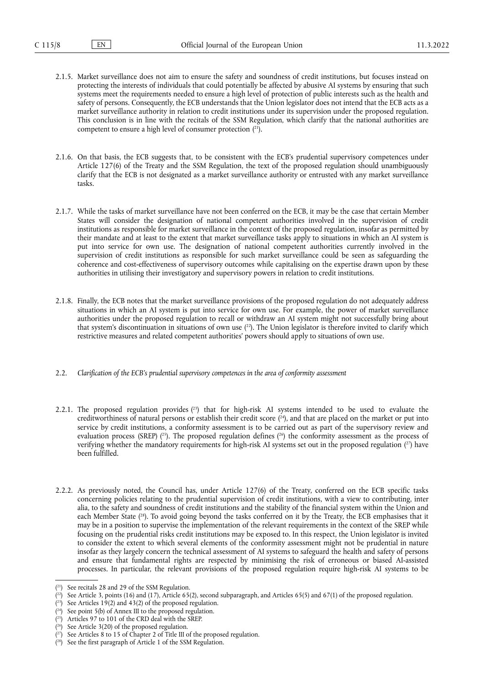- 2.1.5. Market surveillance does not aim to ensure the safety and soundness of credit institutions, but focuses instead on protecting the interests of individuals that could potentially be affected by abusive AI systems by ensuring that such systems meet the requirements needed to ensure a high level of protection of public interests such as the health and safety of persons. Consequently, the ECB understands that the Union legislator does not intend that the ECB acts as a market surveillance authority in relation to credit institutions under its supervision under the proposed regulation. This conclusion is in line with the recitals of the SSM Regulation, which clarify that the national authorities are competent to ensure a high level of consumer protection ( [21\).](#page-3-0)
- <span id="page-3-8"></span>2.1.6. On that basis, the ECB suggests that, to be consistent with the ECB's prudential supervisory competences under Article 127(6) of the Treaty and the SSM Regulation, the text of the proposed regulation should unambiguously clarify that the ECB is not designated as a market surveillance authority or entrusted with any market surveillance tasks.
- 2.1.7. While the tasks of market surveillance have not been conferred on the ECB, it may be the case that certain Member States will consider the designation of national competent authorities involved in the supervision of credit institutions as responsible for market surveillance in the context of the proposed regulation, insofar as permitted by their mandate and at least to the extent that market surveillance tasks apply to situations in which an AI system is put into service for own use. The designation of national competent authorities currently involved in the supervision of credit institutions as responsible for such market surveillance could be seen as safeguarding the coherence and cost-effectiveness of supervisory outcomes while capitalising on the expertise drawn upon by these authorities in utilising their investigatory and supervisory powers in relation to credit institutions.
- <span id="page-3-9"></span>2.1.8. Finally, the ECB notes that the market surveillance provisions of the proposed regulation do not adequately address situations in which an AI system is put into service for own use. For example, the power of market surveillance authorities under the proposed regulation to recall or withdraw an AI system might not successfully bring about that system's discontinuation in situations of own use  $(^{22})$ . The Union legislator is therefore invited to clarify which restrictive measures and related competent authorities' powers should apply to situations of own use.
- 2.2. *Clarification of the ECB's prudential supervisory competences in the area of conformity assessment*
- <span id="page-3-13"></span><span id="page-3-12"></span><span id="page-3-11"></span><span id="page-3-10"></span>2.2.1. The proposed regulation provides  $(^{2})$  that for high-risk AI systems intended to be used to evaluate the creditworthiness of natural persons or establish their credit score ( [24\)](#page-3-3), and that are placed on the market or put into service by credit institutions, a conformity assessment is to be carried out as part of the supervisory review and evaluation process (SREP)  $(2^5)$ . The proposed regulation defines  $(2^6)$  the conformity assessment as the process of verifying whether the mandatory requirements for high-risk AI systems set out in the proposed regulation ( [27\)](#page-3-6) have been fulfilled.
- <span id="page-3-14"></span>2.2.2. As previously noted, the Council has, under Article 127(6) of the Treaty, conferred on the ECB specific tasks concerning policies relating to the prudential supervision of credit institutions, with a view to contributing, inter alia, to the safety and soundness of credit institutions and the stability of the financial system within the Union and each Member State (<sup>28</sup>). To avoid going beyond the tasks conferred on it by the Treaty, the ECB emphasises that it may be in a position to supervise the implementation of the relevant requirements in the context of the SREP while focusing on the prudential risks credit institutions may be exposed to. In this respect, the Union legislator is invited to consider the extent to which several elements of the conformity assessment might not be prudential in nature insofar as they largely concern the technical assessment of AI systems to safeguard the health and safety of persons and ensure that fundamental rights are respected by minimising the risk of erroneous or biased AI-assisted processes. In particular, the relevant provisions of the proposed regulation require high-risk AI systems to be

<span id="page-3-0"></span><sup>(</sup> [21\)](#page-3-8) See recitals 28 and 29 of the SSM Regulation.

<span id="page-3-1"></span> $\binom{22}{2}$  See Article 3, points (16) and (17), Article 65(2), second subparagraph, and Articles 65(5) and 67(1) of the proposed regulation.

<span id="page-3-2"></span><sup>(</sup> [23\)](#page-3-10) See Articles 19(2) and 43(2) of the proposed regulation.

<span id="page-3-3"></span> $(24)$  $(24)$  See point 5(b) of Annex III to the proposed regulation.

<span id="page-3-4"></span> $(2^5)$  Articles 97 to 101 of the CRD deal with the SREP.

<span id="page-3-5"></span><sup>(</sup> [26\)](#page-3-12) See Article 3(20) of the proposed regulation.

<span id="page-3-6"></span><sup>(</sup> [27\)](#page-3-13) See Articles 8 to 15 of Chapter 2 of Title III of the proposed regulation.

<span id="page-3-7"></span><sup>(</sup> [28\)](#page-3-14) See the first paragraph of Article 1 of the SSM Regulation.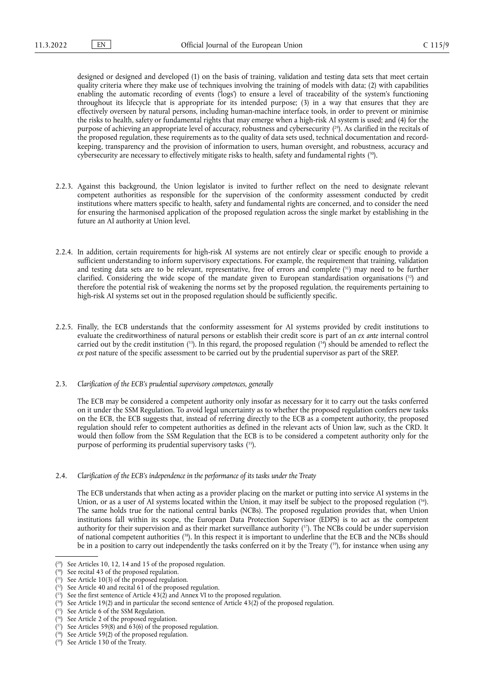<span id="page-4-11"></span>designed or designed and developed (1) on the basis of training, validation and testing data sets that meet certain quality criteria where they make use of techniques involving the training of models with data; (2) with capabilities enabling the automatic recording of events ('logs') to ensure a level of traceability of the system's functioning throughout its lifecycle that is appropriate for its intended purpose; (3) in a way that ensures that they are effectively overseen by natural persons, including human-machine interface tools, in order to prevent or minimise the risks to health, safety or fundamental rights that may emerge when a high-risk AI system is used; and (4) for the purpose of achieving an appropriate level of accuracy, robustness and cybersecurity ( [29\)](#page-4-0). As clarified in the recitals of the proposed regulation, these requirements as to the quality of data sets used, technical documentation and recordkeeping, transparency and the provision of information to users, human oversight, and robustness, accuracy and cybersecurity are necessary to effectively mitigate risks to health, safety and fundamental rights ( [30\).](#page-4-1)

- <span id="page-4-12"></span>2.2.3. Against this background, the Union legislator is invited to further reflect on the need to designate relevant competent authorities as responsible for the supervision of the conformity assessment conducted by credit institutions where matters specific to health, safety and fundamental rights are concerned, and to consider the need for ensuring the harmonised application of the proposed regulation across the single market by establishing in the future an AI authority at Union level.
- <span id="page-4-14"></span><span id="page-4-13"></span>2.2.4. In addition, certain requirements for high-risk AI systems are not entirely clear or specific enough to provide a sufficient understanding to inform supervisory expectations. For example, the requirement that training, validation and testing data sets are to be relevant, representative, free of errors and complete ( [31\)](#page-4-2) may need to be further clarified. Considering the wide scope of the mandate given to European standardisation organisations (<sup>32</sup>) and therefore the potential risk of weakening the norms set by the proposed regulation, the requirements pertaining to high-risk AI systems set out in the proposed regulation should be sufficiently specific.
- <span id="page-4-15"></span>2.2.5. Finally, the ECB understands that the conformity assessment for AI systems provided by credit institutions to evaluate the creditworthiness of natural persons or establish their credit score is part of an *ex ante* internal control carried out by the credit institution ( [33\).](#page-4-4) In this regard, the proposed regulation ( [34\)](#page-4-5) should be amended to reflect the *ex post* nature of the specific assessment to be carried out by the prudential supervisor as part of the SREP.

## 2.3. *Clarification of the ECB's prudential supervisory competences, generally*

<span id="page-4-16"></span>The ECB may be considered a competent authority only insofar as necessary for it to carry out the tasks conferred on it under the SSM Regulation. To avoid legal uncertainty as to whether the proposed regulation confers new tasks on the ECB, the ECB suggests that, instead of referring directly to the ECB as a competent authority, the proposed regulation should refer to competent authorities as defined in the relevant acts of Union law, such as the CRD. It would then follow from the SSM Regulation that the ECB is to be considered a competent authority only for the purpose of performing its prudential supervisory tasks ( [35\).](#page-4-6)

2.4. *Clarification of the ECB's independence in the performance of its tasks under the Treaty*

<span id="page-4-18"></span><span id="page-4-17"></span>The ECB understands that when acting as a provider placing on the market or putting into service AI systems in the Union, or as a user of AI systems located within the Union, it may itself be subject to the proposed regulation ( [36\)](#page-4-7). The same holds true for the national central banks (NCBs). The proposed regulation provides that, when Union institutions fall within its scope, the European Data Protection Supervisor (EDPS) is to act as the competent authority for their supervision and as their market surveillance authority ( [37\)](#page-4-8). The NCBs could be under supervision of national competent authorities ( [38\)](#page-4-9). In this respect it is important to underline that the ECB and the NCBs should be in a position to carry out independently the tasks conferred on it by the Treaty ( [39\),](#page-4-10) for instance when using any

<span id="page-4-20"></span><span id="page-4-19"></span><span id="page-4-0"></span> $(29)$  $(29)$  See Articles 10, 12, 14 and 15 of the proposed regulation.

<span id="page-4-1"></span><sup>(</sup> [30\)](#page-4-12) See recital 43 of the proposed regulation.

<span id="page-4-2"></span><sup>(</sup> [31\)](#page-4-13) See Article 10(3) of the proposed regulation.

<span id="page-4-3"></span> $(32)$  $(32)$  See Article 40 and recital 61 of the proposed regulation.

<span id="page-4-4"></span><sup>(</sup> [33\)](#page-4-15) See the first sentence of Article 43(2) and Annex VI to the proposed regulation.

<span id="page-4-5"></span><sup>(</sup> [34\)](#page-4-15) See Article 19(2) and in particular the second sentence of Article 43(2) of the proposed regulation.

<span id="page-4-6"></span><sup>(</sup> [35\)](#page-4-16) See Article 6 of the SSM Regulation.

<span id="page-4-7"></span><sup>(</sup> [36\)](#page-4-17) See Article 2 of the proposed regulation.

<span id="page-4-8"></span> $(37)$  $(37)$  See Articles 59(8) and 63(6) of the proposed regulation.

<span id="page-4-9"></span><sup>(</sup> [38\)](#page-4-19) See Article 59(2) of the proposed regulation.

<span id="page-4-10"></span><sup>(</sup> [39\)](#page-4-20) See Article 130 of the Treaty.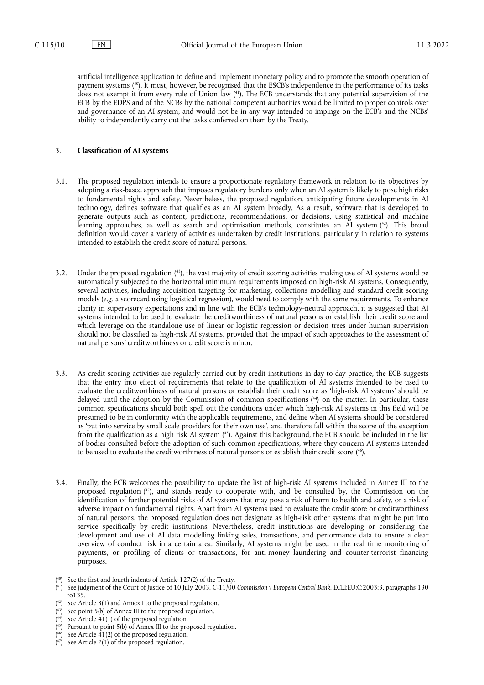<span id="page-5-9"></span><span id="page-5-8"></span>artificial intelligence application to define and implement monetary policy and to promote the smooth operation of payment systems ( [40\).](#page-5-0) It must, however, be recognised that the ESCB's independence in the performance of its tasks does not exempt it from every rule of Union law ( [41\)](#page-5-1). The ECB understands that any potential supervision of the ECB by the EDPS and of the NCBs by the national competent authorities would be limited to proper controls over and governance of an AI system, and would not be in any way intended to impinge on the ECB's and the NCBs' ability to independently carry out the tasks conferred on them by the Treaty.

# 3. **Classification of AI systems**

- <span id="page-5-10"></span>3.1. The proposed regulation intends to ensure a proportionate regulatory framework in relation to its objectives by adopting a risk-based approach that imposes regulatory burdens only when an AI system is likely to pose high risks to fundamental rights and safety. Nevertheless, the proposed regulation, anticipating future developments in AI technology, defines software that qualifies as an AI system broadly. As a result, software that is developed to generate outputs such as content, predictions, recommendations, or decisions, using statistical and machine learning approaches, as well as search and optimisation methods, constitutes an AI system ( [42\)](#page-5-2). This broad definition would cover a variety of activities undertaken by credit institutions, particularly in relation to systems intended to establish the credit score of natural persons.
- <span id="page-5-11"></span>3.2. Under the proposed regulation ( [43\),](#page-5-3) the vast majority of credit scoring activities making use of AI systems would be automatically subjected to the horizontal minimum requirements imposed on high-risk AI systems. Consequently, several activities, including acquisition targeting for marketing, collections modelling and standard credit scoring models (e.g. a scorecard using logistical regression), would need to comply with the same requirements. To enhance clarity in supervisory expectations and in line with the ECB's technology-neutral approach, it is suggested that AI systems intended to be used to evaluate the creditworthiness of natural persons or establish their credit score and which leverage on the standalone use of linear or logistic regression or decision trees under human supervision should not be classified as high-risk AI systems, provided that the impact of such approaches to the assessment of natural persons' creditworthiness or credit score is minor.
- <span id="page-5-12"></span>3.3. As credit scoring activities are regularly carried out by credit institutions in day-to-day practice, the ECB suggests that the entry into effect of requirements that relate to the qualification of AI systems intended to be used to evaluate the creditworthiness of natural persons or establish their credit score as 'high-risk AI systems' should be delayed until the adoption by the Commission of common specifications ( [44\)](#page-5-4) on the matter. In particular, these common specifications should both spell out the conditions under which high-risk AI systems in this field will be presumed to be in conformity with the applicable requirements, and define when AI systems should be considered as 'put into service by small scale providers for their own use', and therefore fall within the scope of the exception from the qualification as a high risk AI system ( [45\).](#page-5-5) Against this background, the ECB should be included in the list of bodies consulted before the adoption of such common specifications, where they concern AI systems intended to be used to evaluate the creditworthiness of natural persons or establish their credit score ( [46\).](#page-5-6)
- <span id="page-5-15"></span><span id="page-5-14"></span><span id="page-5-13"></span>3.4. Finally, the ECB welcomes the possibility to update the list of high-risk AI systems included in Annex III to the proposed regulation ( [47\),](#page-5-7) and stands ready to cooperate with, and be consulted by, the Commission on the identification of further potential risks of AI systems that may pose a risk of harm to health and safety, or a risk of adverse impact on fundamental rights. Apart from AI systems used to evaluate the credit score or creditworthiness of natural persons, the proposed regulation does not designate as high-risk other systems that might be put into service specifically by credit institutions. Nevertheless, credit institutions are developing or considering the development and use of AI data modelling linking sales, transactions, and performance data to ensure a clear overview of conduct risk in a certain area. Similarly, AI systems might be used in the real time monitoring of payments, or profiling of clients or transactions, for anti-money laundering and counter-terrorist financing purposes.

<span id="page-5-5"></span>( [45\)](#page-5-13) Pursuant to point 5(b) of Annex III to the proposed regulation.

<span id="page-5-7"></span>( [47\)](#page-5-15) See Article 7(1) of the proposed regulation.

<span id="page-5-0"></span><sup>(</sup> [40\)](#page-5-8) See the first and fourth indents of Article 127(2) of the Treaty.

<span id="page-5-1"></span><sup>(</sup> [41\)](#page-5-9) See judgment of the Court of Justice of 10 July 2003, C-11/00 *Commission v European Central Bank*, ECLI:EU:C:2003:3, paragraphs 130 to135.

<span id="page-5-2"></span><sup>(</sup> [42\)](#page-5-10) See Article 3(1) and Annex I to the proposed regulation.

<span id="page-5-3"></span><sup>(</sup> See point 5(b) of Annex III to the proposed regulation.

<span id="page-5-4"></span><sup>(</sup> [44\)](#page-5-12) See Article 41(1) of the proposed regulation.

<span id="page-5-6"></span><sup>(</sup> [46\)](#page-5-14) See Article 41(2) of the proposed regulation.